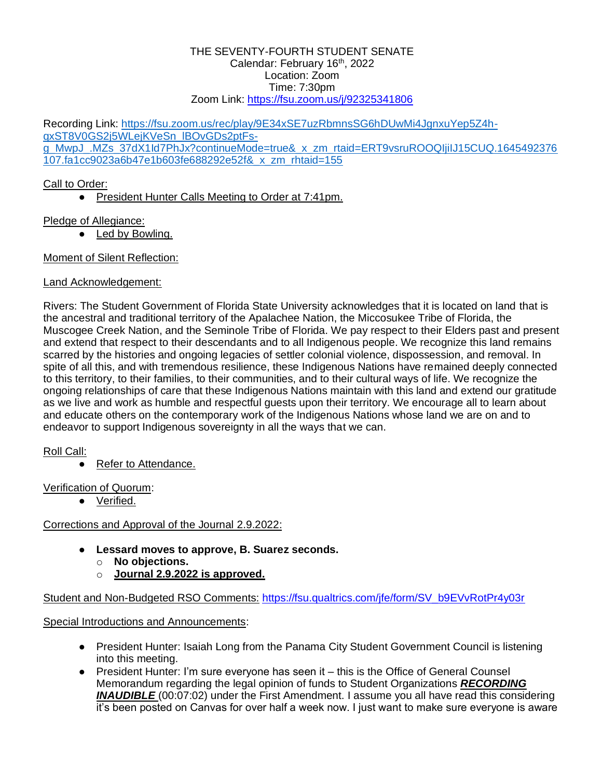#### THE SEVENTY-FOURTH STUDENT SENATE Calendar: February 16th, 2022 Location: Zoom Time: 7:30pm Zoom Link:<https://fsu.zoom.us/j/92325341806>

Recording Link: [https://fsu.zoom.us/rec/play/9E34xSE7uzRbmnsSG6hDUwMi4JgnxuYep5Z4h](https://fsu.zoom.us/rec/play/9E34xSE7uzRbmnsSG6hDUwMi4JgnxuYep5Z4h-qxST8V0GS2j5WLejKVeSn_lBOvGDs2ptFs-g_MwpJ_.MZs_37dX1Id7PhJx?continueMode=true&_x_zm_rtaid=ERT9vsruROOQIjiIJ15CUQ.1645492376107.fa1cc9023a6b47e1b603fe688292e52f&_x_zm_rhtaid=155)[qxST8V0GS2j5WLejKVeSn\\_lBOvGDs2ptFs](https://fsu.zoom.us/rec/play/9E34xSE7uzRbmnsSG6hDUwMi4JgnxuYep5Z4h-qxST8V0GS2j5WLejKVeSn_lBOvGDs2ptFs-g_MwpJ_.MZs_37dX1Id7PhJx?continueMode=true&_x_zm_rtaid=ERT9vsruROOQIjiIJ15CUQ.1645492376107.fa1cc9023a6b47e1b603fe688292e52f&_x_zm_rhtaid=155)[g\\_MwpJ\\_.MZs\\_37dX1Id7PhJx?continueMode=true&\\_x\\_zm\\_rtaid=ERT9vsruROOQIjiIJ15CUQ.1645492376](https://fsu.zoom.us/rec/play/9E34xSE7uzRbmnsSG6hDUwMi4JgnxuYep5Z4h-qxST8V0GS2j5WLejKVeSn_lBOvGDs2ptFs-g_MwpJ_.MZs_37dX1Id7PhJx?continueMode=true&_x_zm_rtaid=ERT9vsruROOQIjiIJ15CUQ.1645492376107.fa1cc9023a6b47e1b603fe688292e52f&_x_zm_rhtaid=155) [107.fa1cc9023a6b47e1b603fe688292e52f&\\_x\\_zm\\_rhtaid=155](https://fsu.zoom.us/rec/play/9E34xSE7uzRbmnsSG6hDUwMi4JgnxuYep5Z4h-qxST8V0GS2j5WLejKVeSn_lBOvGDs2ptFs-g_MwpJ_.MZs_37dX1Id7PhJx?continueMode=true&_x_zm_rtaid=ERT9vsruROOQIjiIJ15CUQ.1645492376107.fa1cc9023a6b47e1b603fe688292e52f&_x_zm_rhtaid=155)

# Call to Order:

● President Hunter Calls Meeting to Order at 7:41pm.

# Pledge of Allegiance:

• Led by Bowling.

## Moment of Silent Reflection:

# Land Acknowledgement:

Rivers: The Student Government of Florida State University acknowledges that it is located on land that is the ancestral and traditional territory of the Apalachee Nation, the Miccosukee Tribe of Florida, the Muscogee Creek Nation, and the Seminole Tribe of Florida. We pay respect to their Elders past and present and extend that respect to their descendants and to all Indigenous people. We recognize this land remains scarred by the histories and ongoing legacies of settler colonial violence, dispossession, and removal. In spite of all this, and with tremendous resilience, these Indigenous Nations have remained deeply connected to this territory, to their families, to their communities, and to their cultural ways of life. We recognize the ongoing relationships of care that these Indigenous Nations maintain with this land and extend our gratitude as we live and work as humble and respectful guests upon their territory. We encourage all to learn about and educate others on the contemporary work of the Indigenous Nations whose land we are on and to endeavor to support Indigenous sovereignty in all the ways that we can.

# Roll Call:

● Refer to Attendance.

Verification of Quorum:

● Verified.

# Corrections and Approval of the Journal 2.9.2022:

- **Lessard moves to approve, B. Suarez seconds.**
	- o **No objections.**
	- o **Journal 2.9.2022 is approved.**

Student and Non-Budgeted RSO Comments: [https://fsu.qualtrics.com/jfe/form/SV\\_b9EVvRotPr4y03r](https://fsu.qualtrics.com/jfe/form/SV_b9EVvRotPr4y03r)

Special Introductions and Announcements:

- President Hunter: Isaiah Long from the Panama City Student Government Council is listening into this meeting.
- President Hunter: I'm sure everyone has seen it this is the Office of General Counsel Memorandum regarding the legal opinion of funds to Student Organizations *RECORDING*  **INAUDIBLE** (00:07:02) under the First Amendment. I assume you all have read this considering it's been posted on Canvas for over half a week now. I just want to make sure everyone is aware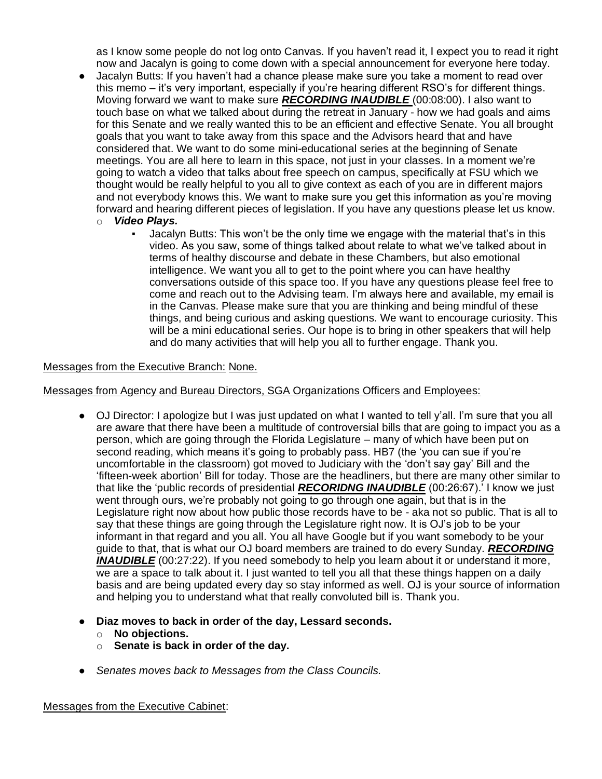as I know some people do not log onto Canvas. If you haven't read it, I expect you to read it right now and Jacalyn is going to come down with a special announcement for everyone here today.

- Jacalyn Butts: If you haven't had a chance please make sure you take a moment to read over this memo – it's very important, especially if you're hearing different RSO's for different things. Moving forward we want to make sure *RECORDING INAUDIBLE* (00:08:00). I also want to touch base on what we talked about during the retreat in January - how we had goals and aims for this Senate and we really wanted this to be an efficient and effective Senate. You all brought goals that you want to take away from this space and the Advisors heard that and have considered that. We want to do some mini-educational series at the beginning of Senate meetings. You are all here to learn in this space, not just in your classes. In a moment we're going to watch a video that talks about free speech on campus, specifically at FSU which we thought would be really helpful to you all to give context as each of you are in different majors and not everybody knows this. We want to make sure you get this information as you're moving forward and hearing different pieces of legislation. If you have any questions please let us know.
	- o *Video Plays.*
		- Jacalyn Butts: This won't be the only time we engage with the material that's in this video. As you saw, some of things talked about relate to what we've talked about in terms of healthy discourse and debate in these Chambers, but also emotional intelligence. We want you all to get to the point where you can have healthy conversations outside of this space too. If you have any questions please feel free to come and reach out to the Advising team. I'm always here and available, my email is in the Canvas. Please make sure that you are thinking and being mindful of these things, and being curious and asking questions. We want to encourage curiosity. This will be a mini educational series. Our hope is to bring in other speakers that will help and do many activities that will help you all to further engage. Thank you.

#### Messages from the Executive Branch: None.

Messages from Agency and Bureau Directors, SGA Organizations Officers and Employees:

- OJ Director: I apologize but I was just updated on what I wanted to tell y'all. I'm sure that you all are aware that there have been a multitude of controversial bills that are going to impact you as a person, which are going through the Florida Legislature – many of which have been put on second reading, which means it's going to probably pass. HB7 (the 'you can sue if you're uncomfortable in the classroom) got moved to Judiciary with the 'don't say gay' Bill and the 'fifteen-week abortion' Bill for today. Those are the headliners, but there are many other similar to that like the 'public records of presidential *RECORIDNG INAUDIBLE* (00:26:67).' I know we just went through ours, we're probably not going to go through one again, but that is in the Legislature right now about how public those records have to be - aka not so public. That is all to say that these things are going through the Legislature right now. It is OJ's job to be your informant in that regard and you all. You all have Google but if you want somebody to be your guide to that, that is what our OJ board members are trained to do every Sunday. *RECORDING INAUDIBLE* (00:27:22). If you need somebody to help you learn about it or understand it more, we are a space to talk about it. I just wanted to tell you all that these things happen on a daily basis and are being updated every day so stay informed as well. OJ is your source of information and helping you to understand what that really convoluted bill is. Thank you.
- **Diaz moves to back in order of the day, Lessard seconds.**
	- o **No objections.**
	- o **Senate is back in order of the day.**
- *Senates moves back to Messages from the Class Councils.*

Messages from the Executive Cabinet: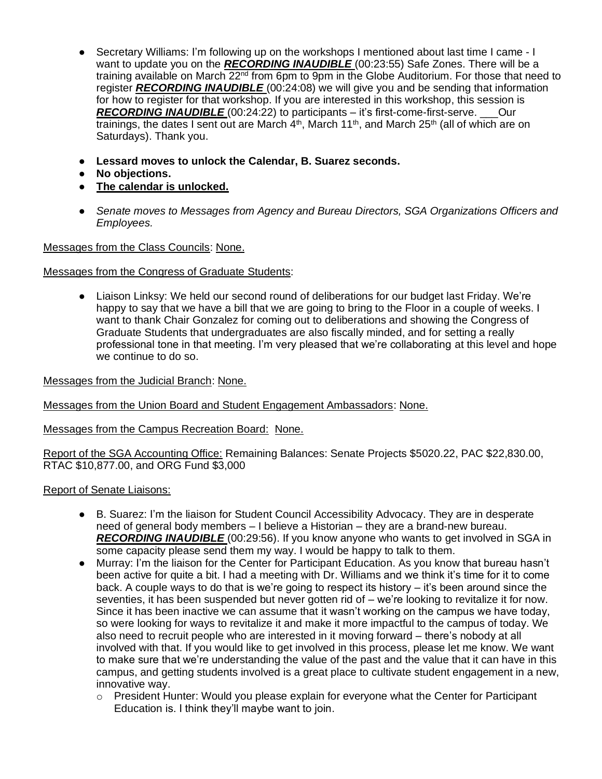- Secretary Williams: I'm following up on the workshops I mentioned about last time I came I want to update you on the *RECORDING INAUDIBLE* (00:23:55) Safe Zones. There will be a training available on March 22<sup>nd</sup> from 6pm to 9pm in the Globe Auditorium. For those that need to register *RECORDING INAUDIBLE* (00:24:08) we will give you and be sending that information for how to register for that workshop. If you are interested in this workshop, this session is *RECORDING INAUDIBLE* (00:24:22) to participants – it's first-come-first-serve. \_\_\_Our trainings, the dates I sent out are March  $4<sup>th</sup>$ , March  $11<sup>th</sup>$ , and March  $25<sup>th</sup>$  (all of which are on Saturdays). Thank you.
- **Lessard moves to unlock the Calendar, B. Suarez seconds.**
- **No objections.**
- **The calendar is unlocked.**
- *Senate moves to Messages from Agency and Bureau Directors, SGA Organizations Officers and Employees.*

Messages from the Class Councils: None.

Messages from the Congress of Graduate Students:

● Liaison Linksy: We held our second round of deliberations for our budget last Friday. We're happy to say that we have a bill that we are going to bring to the Floor in a couple of weeks. I want to thank Chair Gonzalez for coming out to deliberations and showing the Congress of Graduate Students that undergraduates are also fiscally minded, and for setting a really professional tone in that meeting. I'm very pleased that we're collaborating at this level and hope we continue to do so.

Messages from the Judicial Branch: None.

Messages from the Union Board and Student Engagement Ambassadors: None.

Messages from the Campus Recreation Board: None.

Report of the SGA Accounting Office: Remaining Balances: Senate Projects \$5020.22, PAC \$22,830.00, RTAC \$10,877.00, and ORG Fund \$3,000

#### Report of Senate Liaisons:

- B. Suarez: I'm the liaison for Student Council Accessibility Advocacy. They are in desperate need of general body members – I believe a Historian – they are a brand-new bureau. *RECORDING INAUDIBLE* (00:29:56). If you know anyone who wants to get involved in SGA in some capacity please send them my way. I would be happy to talk to them.
- Murray: I'm the liaison for the Center for Participant Education. As you know that bureau hasn't been active for quite a bit. I had a meeting with Dr. Williams and we think it's time for it to come back. A couple ways to do that is we're going to respect its history – it's been around since the seventies, it has been suspended but never gotten rid of – we're looking to revitalize it for now. Since it has been inactive we can assume that it wasn't working on the campus we have today, so were looking for ways to revitalize it and make it more impactful to the campus of today. We also need to recruit people who are interested in it moving forward – there's nobody at all involved with that. If you would like to get involved in this process, please let me know. We want to make sure that we're understanding the value of the past and the value that it can have in this campus, and getting students involved is a great place to cultivate student engagement in a new, innovative way.
	- $\circ$  President Hunter: Would you please explain for everyone what the Center for Participant Education is. I think they'll maybe want to join.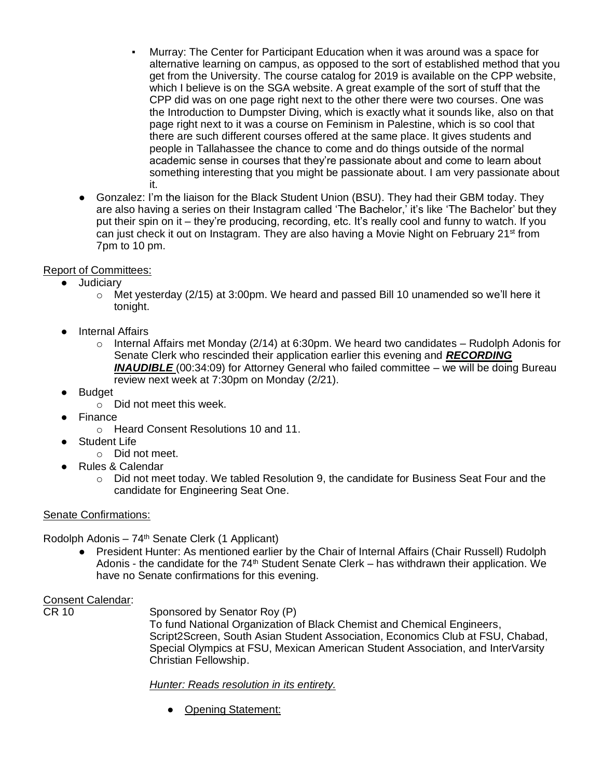- Murray: The Center for Participant Education when it was around was a space for alternative learning on campus, as opposed to the sort of established method that you get from the University. The course catalog for 2019 is available on the CPP website, which I believe is on the SGA website. A great example of the sort of stuff that the CPP did was on one page right next to the other there were two courses. One was the Introduction to Dumpster Diving, which is exactly what it sounds like, also on that page right next to it was a course on Feminism in Palestine, which is so cool that there are such different courses offered at the same place. It gives students and people in Tallahassee the chance to come and do things outside of the normal academic sense in courses that they're passionate about and come to learn about something interesting that you might be passionate about. I am very passionate about it.
- Gonzalez: I'm the liaison for the Black Student Union (BSU). They had their GBM today. They are also having a series on their Instagram called 'The Bachelor,' it's like 'The Bachelor' but they put their spin on it – they're producing, recording, etc. It's really cool and funny to watch. If you can just check it out on Instagram. They are also having a Movie Night on February 21<sup>st</sup> from 7pm to 10 pm.

## Report of Committees:

- Judiciary
	- $\circ$  Met yesterday (2/15) at 3:00pm. We heard and passed Bill 10 unamended so we'll here it tonight.
- Internal Affairs
	- $\circ$  Internal Affairs met Monday (2/14) at 6:30pm. We heard two candidates Rudolph Adonis for Senate Clerk who rescinded their application earlier this evening and *RECORDING*  **INAUDIBLE** (00:34:09) for Attorney General who failed committee – we will be doing Bureau review next week at 7:30pm on Monday (2/21).
- Budget
	- o Did not meet this week.
- **Finance** 
	- o Heard Consent Resolutions 10 and 11.
- **Student Life** 
	- o Did not meet.
- Rules & Calendar
	- $\circ$  Did not meet today. We tabled Resolution 9, the candidate for Business Seat Four and the candidate for Engineering Seat One.

## Senate Confirmations:

Rodolph Adonis – 74th Senate Clerk (1 Applicant)

● President Hunter: As mentioned earlier by the Chair of Internal Affairs (Chair Russell) Rudolph Adonis - the candidate for the  $74<sup>th</sup>$  Student Senate Clerk – has withdrawn their application. We have no Senate confirmations for this evening.

# Consent Calendar:<br>CR 10

Sponsored by Senator Roy (P)

To fund National Organization of Black Chemist and Chemical Engineers, Script2Screen, South Asian Student Association, Economics Club at FSU, Chabad, Special Olympics at FSU, Mexican American Student Association, and InterVarsity Christian Fellowship.

## *Hunter: Reads resolution in its entirety.*

● Opening Statement: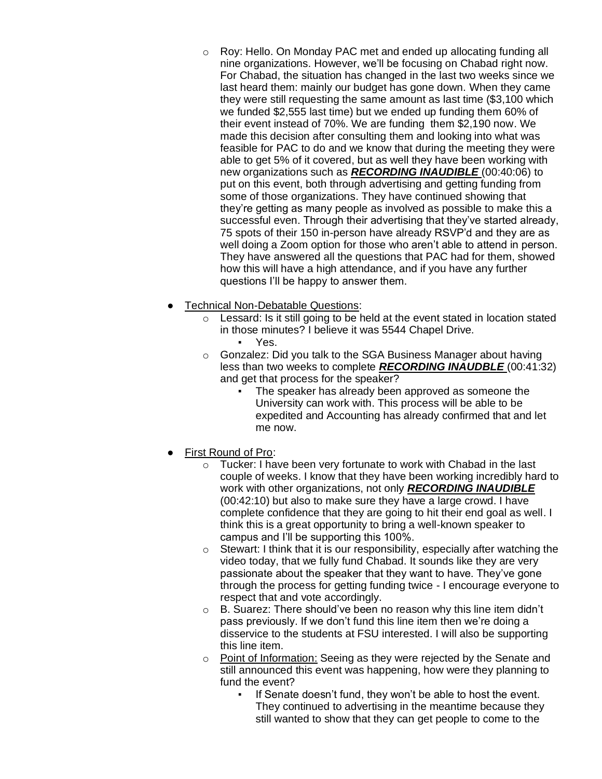- $\circ$  Roy: Hello. On Monday PAC met and ended up allocating funding all nine organizations. However, we'll be focusing on Chabad right now. For Chabad, the situation has changed in the last two weeks since we last heard them: mainly our budget has gone down. When they came they were still requesting the same amount as last time (\$3,100 which we funded \$2,555 last time) but we ended up funding them 60% of their event instead of 70%. We are funding them \$2,190 now. We made this decision after consulting them and looking into what was feasible for PAC to do and we know that during the meeting they were able to get 5% of it covered, but as well they have been working with new organizations such as *RECORDING INAUDIBLE* (00:40:06) to put on this event, both through advertising and getting funding from some of those organizations. They have continued showing that they're getting as many people as involved as possible to make this a successful even. Through their advertising that they've started already, 75 spots of their 150 in-person have already RSVP'd and they are as well doing a Zoom option for those who aren't able to attend in person. They have answered all the questions that PAC had for them, showed how this will have a high attendance, and if you have any further questions I'll be happy to answer them.
- **Technical Non-Debatable Questions:** 
	- $\circ$  Lessard: Is it still going to be held at the event stated in location stated in those minutes? I believe it was 5544 Chapel Drive. Yes.
	- o Gonzalez: Did you talk to the SGA Business Manager about having less than two weeks to complete *RECORDING INAUDBLE* (00:41:32) and get that process for the speaker?
		- The speaker has already been approved as someone the University can work with. This process will be able to be expedited and Accounting has already confirmed that and let me now.
- **First Round of Pro:** 
	- Tucker: I have been very fortunate to work with Chabad in the last couple of weeks. I know that they have been working incredibly hard to work with other organizations, not only *RECORDING INAUDIBLE*  (00:42:10) but also to make sure they have a large crowd. I have complete confidence that they are going to hit their end goal as well. I think this is a great opportunity to bring a well-known speaker to campus and I'll be supporting this 100%.
	- $\circ$  Stewart: I think that it is our responsibility, especially after watching the video today, that we fully fund Chabad. It sounds like they are very passionate about the speaker that they want to have. They've gone through the process for getting funding twice - I encourage everyone to respect that and vote accordingly.
	- $\circ$  B. Suarez: There should've been no reason why this line item didn't pass previously. If we don't fund this line item then we're doing a disservice to the students at FSU interested. I will also be supporting this line item.
	- $\circ$  Point of Information: Seeing as they were rejected by the Senate and still announced this event was happening, how were they planning to fund the event?
		- If Senate doesn't fund, they won't be able to host the event. They continued to advertising in the meantime because they still wanted to show that they can get people to come to the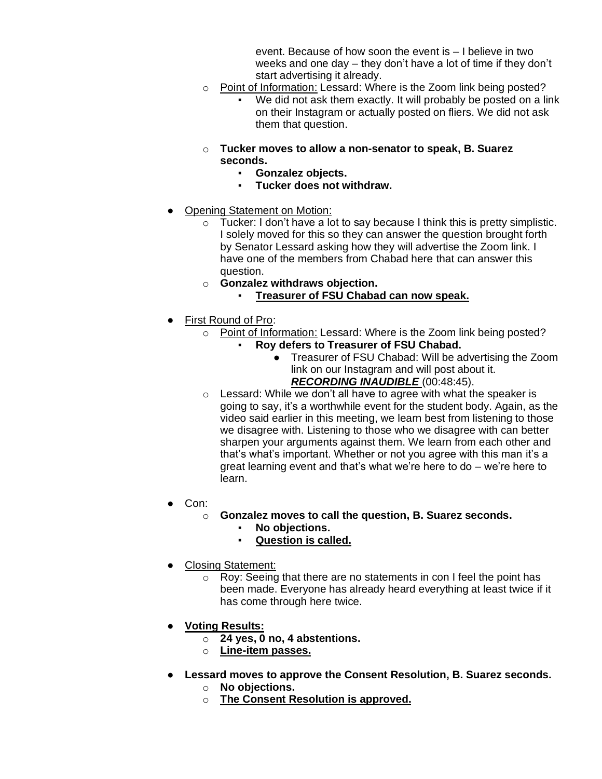event. Because of how soon the event is – I believe in two weeks and one day – they don't have a lot of time if they don't start advertising it already.

- o Point of Information: Lessard: Where is the Zoom link being posted?
	- We did not ask them exactly. It will probably be posted on a link on their Instagram or actually posted on fliers. We did not ask them that question.
- o **Tucker moves to allow a non-senator to speak, B. Suarez seconds.**
	- **Gonzalez objects.**
	- **Tucker does not withdraw.**
- **Opening Statement on Motion:** 
	- $\circ$  Tucker: I don't have a lot to say because I think this is pretty simplistic. I solely moved for this so they can answer the question brought forth by Senator Lessard asking how they will advertise the Zoom link. I have one of the members from Chabad here that can answer this question.
	- o **Gonzalez withdraws objection.**
		- **Treasurer of FSU Chabad can now speak.**
- First Round of Pro:
	- $\circ$  Point of Information: Lessard: Where is the Zoom link being posted?
		- **Roy defers to Treasurer of FSU Chabad.** 
			- Treasurer of FSU Chabad: Will be advertising the Zoom link on our Instagram and will post about it. *RECORDING INAUDIBLE* (00:48:45).
	- $\circ$  Lessard: While we don't all have to agree with what the speaker is going to say, it's a worthwhile event for the student body. Again, as the video said earlier in this meeting, we learn best from listening to those we disagree with. Listening to those who we disagree with can better sharpen your arguments against them. We learn from each other and that's what's important. Whether or not you agree with this man it's a great learning event and that's what we're here to do – we're here to learn.
- Con:
	- o **Gonzalez moves to call the question, B. Suarez seconds.**
		- No objections.
		- **Question is called.**
- **Closing Statement:** 
	- o Roy: Seeing that there are no statements in con I feel the point has been made. Everyone has already heard everything at least twice if it has come through here twice.
- **Voting Results:**
	- o **24 yes, 0 no, 4 abstentions.**
	- o **Line-item passes.**
- **Lessard moves to approve the Consent Resolution, B. Suarez seconds.**
	- o **No objections.**
	- o **The Consent Resolution is approved.**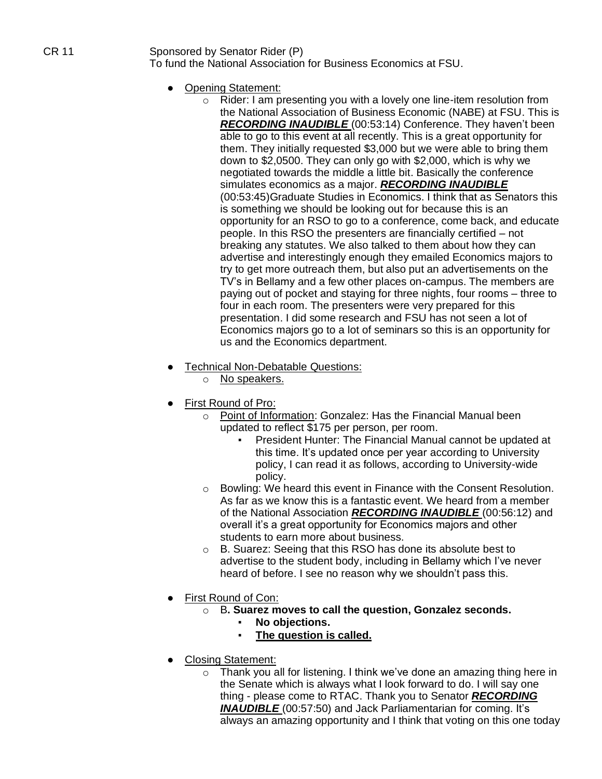## CR 11 Sponsored by Senator Rider (P) To fund the National Association for Business Economics at FSU.

- Opening Statement:
	- o Rider: I am presenting you with a lovely one line-item resolution from the National Association of Business Economic (NABE) at FSU. This is *RECORDING INAUDIBLE* (00:53:14) Conference. They haven't been able to go to this event at all recently. This is a great opportunity for them. They initially requested \$3,000 but we were able to bring them down to \$2,0500. They can only go with \$2,000, which is why we negotiated towards the middle a little bit. Basically the conference simulates economics as a major. *RECORDING INAUDIBLE*  (00:53:45)Graduate Studies in Economics. I think that as Senators this is something we should be looking out for because this is an opportunity for an RSO to go to a conference, come back, and educate people. In this RSO the presenters are financially certified – not breaking any statutes. We also talked to them about how they can advertise and interestingly enough they emailed Economics majors to try to get more outreach them, but also put an advertisements on the TV's in Bellamy and a few other places on-campus. The members are paying out of pocket and staying for three nights, four rooms – three to four in each room. The presenters were very prepared for this presentation. I did some research and FSU has not seen a lot of Economics majors go to a lot of seminars so this is an opportunity for us and the Economics department.
- Technical Non-Debatable Questions:
	- o No speakers.
- First Round of Pro:
	- o Point of Information: Gonzalez: Has the Financial Manual been updated to reflect \$175 per person, per room.
		- President Hunter: The Financial Manual cannot be updated at this time. It's updated once per year according to University policy, I can read it as follows, according to University-wide policy.
	- $\circ$  Bowling: We heard this event in Finance with the Consent Resolution. As far as we know this is a fantastic event. We heard from a member of the National Association *RECORDING INAUDIBLE* (00:56:12) and overall it's a great opportunity for Economics majors and other students to earn more about business.
	- o B. Suarez: Seeing that this RSO has done its absolute best to advertise to the student body, including in Bellamy which I've never heard of before. I see no reason why we shouldn't pass this.
- First Round of Con:
	- o B**. Suarez moves to call the question, Gonzalez seconds.**
		- No objections.
		- **The question is called.**
- Closing Statement:
	- o Thank you all for listening. I think we've done an amazing thing here in the Senate which is always what I look forward to do. I will say one thing - please come to RTAC. Thank you to Senator *RECORDING*  **INAUDIBLE** (00:57:50) and Jack Parliamentarian for coming. It's always an amazing opportunity and I think that voting on this one today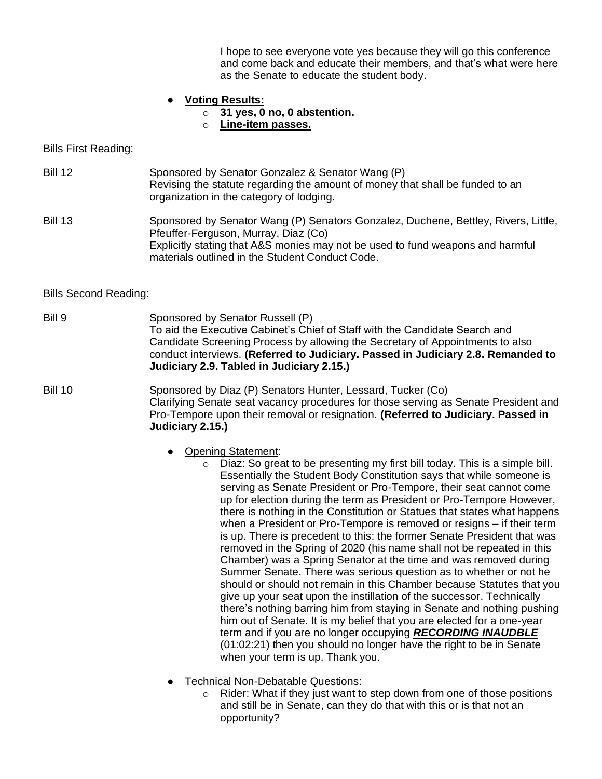I hope to see everyone vote yes because they will go this conference and come back and educate their members, and that's what were here as the Senate to educate the student body.

#### ● **Voting Results:**

- o **31 yes, 0 no, 0 abstention.**
- o **Line-item passes.**

#### Bills First Reading:

- Bill 12 Sponsored by Senator Gonzalez & Senator Wang (P) Revising the statute regarding the amount of money that shall be funded to an organization in the category of lodging.
- Bill 13 Sponsored by Senator Wang (P) Senators Gonzalez, Duchene, Bettley, Rivers, Little, Pfeuffer-Ferguson, Murray, Diaz (Co) Explicitly stating that A&S monies may not be used to fund weapons and harmful materials outlined in the Student Conduct Code.

#### Bills Second Reading:

Bill 9 Sponsored by Senator Russell (P) To aid the Executive Cabinet's Chief of Staff with the Candidate Search and Candidate Screening Process by allowing the Secretary of Appointments to also conduct interviews. **(Referred to Judiciary. Passed in Judiciary 2.8. Remanded to Judiciary 2.9. Tabled in Judiciary 2.15.)**

#### Bill 10 Sponsored by Diaz (P) Senators Hunter, Lessard, Tucker (Co) Clarifying Senate seat vacancy procedures for those serving as Senate President and Pro-Tempore upon their removal or resignation. **(Referred to Judiciary. Passed in Judiciary 2.15.)**

- Opening Statement:
	- $\circ$  Diaz: So great to be presenting my first bill today. This is a simple bill. Essentially the Student Body Constitution says that while someone is serving as Senate President or Pro-Tempore, their seat cannot come up for election during the term as President or Pro-Tempore However, there is nothing in the Constitution or Statues that states what happens when a President or Pro-Tempore is removed or resigns – if their term is up. There is precedent to this: the former Senate President that was removed in the Spring of 2020 (his name shall not be repeated in this Chamber) was a Spring Senator at the time and was removed during Summer Senate. There was serious question as to whether or not he should or should not remain in this Chamber because Statutes that you give up your seat upon the instillation of the successor. Technically there's nothing barring him from staying in Senate and nothing pushing him out of Senate. It is my belief that you are elected for a one-year term and if you are no longer occupying *RECORDING INAUDBLE*  (01:02:21) then you should no longer have the right to be in Senate when your term is up. Thank you.
- Technical Non-Debatable Questions:
	- Rider: What if they just want to step down from one of those positions and still be in Senate, can they do that with this or is that not an opportunity?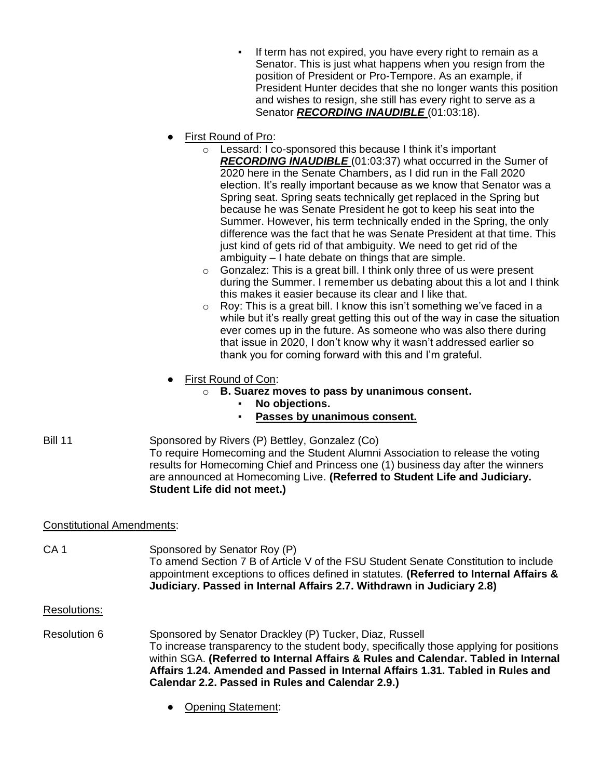- If term has not expired, you have every right to remain as a Senator. This is just what happens when you resign from the position of President or Pro-Tempore. As an example, if President Hunter decides that she no longer wants this position and wishes to resign, she still has every right to serve as a Senator **RECORDING INAUDIBLE** (01:03:18).
- First Round of Pro:
	- o Lessard: I co-sponsored this because I think it's important *RECORDING INAUDIBLE* (01:03:37) what occurred in the Sumer of 2020 here in the Senate Chambers, as I did run in the Fall 2020 election. It's really important because as we know that Senator was a Spring seat. Spring seats technically get replaced in the Spring but because he was Senate President he got to keep his seat into the Summer. However, his term technically ended in the Spring, the only difference was the fact that he was Senate President at that time. This just kind of gets rid of that ambiguity. We need to get rid of the ambiguity – I hate debate on things that are simple.
	- $\circ$  Gonzalez: This is a great bill. I think only three of us were present during the Summer. I remember us debating about this a lot and I think this makes it easier because its clear and I like that.
	- o Roy: This is a great bill. I know this isn't something we've faced in a while but it's really great getting this out of the way in case the situation ever comes up in the future. As someone who was also there during that issue in 2020, I don't know why it wasn't addressed earlier so thank you for coming forward with this and I'm grateful.
- First Round of Con:
	- o **B. Suarez moves to pass by unanimous consent.**
		- No objections.
		- **Passes by unanimous consent.**
- Bill 11 Sponsored by Rivers (P) Bettley, Gonzalez (Co) To require Homecoming and the Student Alumni Association to release the voting results for Homecoming Chief and Princess one (1) business day after the winners are announced at Homecoming Live. **(Referred to Student Life and Judiciary. Student Life did not meet.)**

# Constitutional Amendments:

- CA 1 Sponsored by Senator Roy (P) To amend Section 7 B of Article V of the FSU Student Senate Constitution to include appointment exceptions to offices defined in statutes. **(Referred to Internal Affairs & Judiciary. Passed in Internal Affairs 2.7. Withdrawn in Judiciary 2.8)**
- Resolutions:
- Resolution 6 Sponsored by Senator Drackley (P) Tucker, Diaz, Russell To increase transparency to the student body, specifically those applying for positions within SGA. **(Referred to Internal Affairs & Rules and Calendar. Tabled in Internal Affairs 1.24. Amended and Passed in Internal Affairs 1.31. Tabled in Rules and Calendar 2.2. Passed in Rules and Calendar 2.9.)**
	- Opening Statement: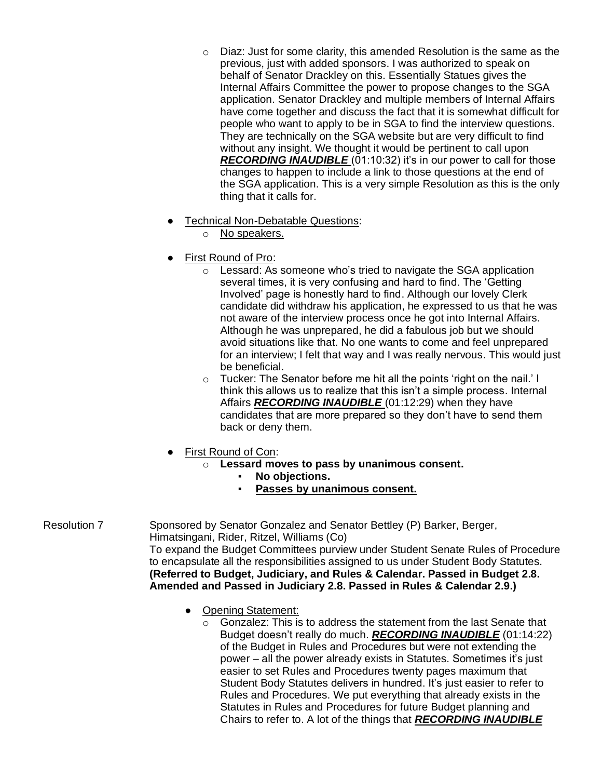- $\circ$  Diaz: Just for some clarity, this amended Resolution is the same as the previous, just with added sponsors. I was authorized to speak on behalf of Senator Drackley on this. Essentially Statues gives the Internal Affairs Committee the power to propose changes to the SGA application. Senator Drackley and multiple members of Internal Affairs have come together and discuss the fact that it is somewhat difficult for people who want to apply to be in SGA to find the interview questions. They are technically on the SGA website but are very difficult to find without any insight. We thought it would be pertinent to call upon *RECORDING INAUDIBLE* (01:10:32) it's in our power to call for those changes to happen to include a link to those questions at the end of the SGA application. This is a very simple Resolution as this is the only thing that it calls for.
- Technical Non-Debatable Questions:
	- o No speakers.
- First Round of Pro:
	- o Lessard: As someone who's tried to navigate the SGA application several times, it is very confusing and hard to find. The 'Getting Involved' page is honestly hard to find. Although our lovely Clerk candidate did withdraw his application, he expressed to us that he was not aware of the interview process once he got into Internal Affairs. Although he was unprepared, he did a fabulous job but we should avoid situations like that. No one wants to come and feel unprepared for an interview; I felt that way and I was really nervous. This would just be beneficial.
	- o Tucker: The Senator before me hit all the points 'right on the nail.' I think this allows us to realize that this isn't a simple process. Internal Affairs *RECORDING INAUDIBLE* (01:12:29) when they have candidates that are more prepared so they don't have to send them back or deny them.
- First Round of Con:
	- o **Lessard moves to pass by unanimous consent.**
		- **No objections.**
		- Passes by unanimous consent.

Resolution 7 Sponsored by Senator Gonzalez and Senator Bettley (P) Barker, Berger, Himatsingani, Rider, Ritzel, Williams (Co) To expand the Budget Committees purview under Student Senate Rules of Procedure to encapsulate all the responsibilities assigned to us under Student Body Statutes. **(Referred to Budget, Judiciary, and Rules & Calendar. Passed in Budget 2.8.** 

**Amended and Passed in Judiciary 2.8. Passed in Rules & Calendar 2.9.)**

- Opening Statement:
	- o Gonzalez: This is to address the statement from the last Senate that Budget doesn't really do much. *RECORDING INAUDIBLE* (01:14:22) of the Budget in Rules and Procedures but were not extending the power – all the power already exists in Statutes. Sometimes it's just easier to set Rules and Procedures twenty pages maximum that Student Body Statutes delivers in hundred. It's just easier to refer to Rules and Procedures. We put everything that already exists in the Statutes in Rules and Procedures for future Budget planning and Chairs to refer to. A lot of the things that *RECORDING INAUDIBLE*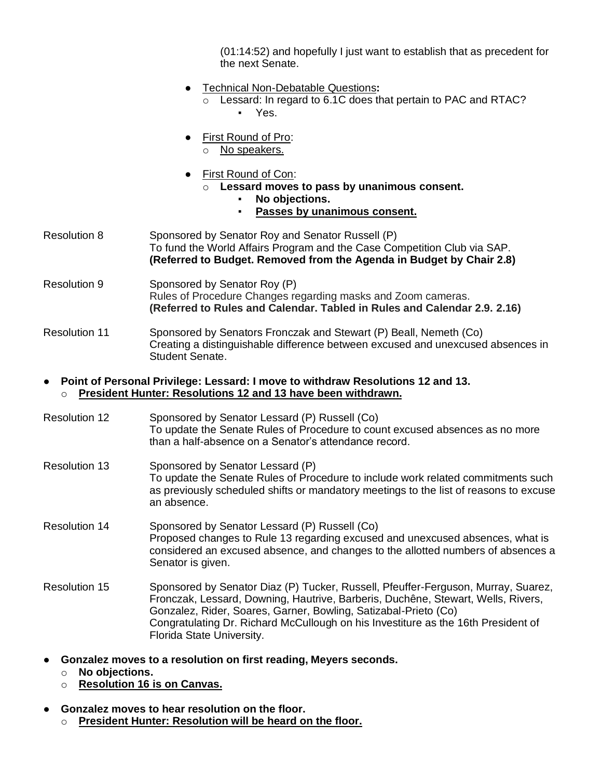(01:14:52) and hopefully I just want to establish that as precedent for the next Senate.

- Technical Non-Debatable Questions**:**
	- o Lessard: In regard to 6.1C does that pertain to PAC and RTAC? ▪ Yes.
- First Round of Pro:
	- o No speakers.
- First Round of Con:
	- o **Lessard moves to pass by unanimous consent.**
		- No objections.
		- **Passes by unanimous consent.**
- Resolution 8 Sponsored by Senator Roy and Senator Russell (P) To fund the World Affairs Program and the Case Competition Club via SAP. **(Referred to Budget. Removed from the Agenda in Budget by Chair 2.8)**
- Resolution 9 Sponsored by Senator Roy (P) Rules of Procedure Changes regarding masks and Zoom cameras. **(Referred to Rules and Calendar. Tabled in Rules and Calendar 2.9. 2.16)**
- Resolution 11 Sponsored by Senators Fronczak and Stewart (P) Beall, Nemeth (Co) Creating a distinguishable difference between excused and unexcused absences in Student Senate.

#### ● **Point of Personal Privilege: Lessard: I move to withdraw Resolutions 12 and 13.** o **President Hunter: Resolutions 12 and 13 have been withdrawn.**

- Resolution 12 Sponsored by Senator Lessard (P) Russell (Co) To update the Senate Rules of Procedure to count excused absences as no more than a half-absence on a Senator's attendance record.
- Resolution 13 Sponsored by Senator Lessard (P) To update the Senate Rules of Procedure to include work related commitments such as previously scheduled shifts or mandatory meetings to the list of reasons to excuse an absence.
- Resolution 14 Sponsored by Senator Lessard (P) Russell (Co) Proposed changes to Rule 13 regarding excused and unexcused absences, what is considered an excused absence, and changes to the allotted numbers of absences a Senator is given.
- Resolution 15 Sponsored by Senator Diaz (P) Tucker, Russell, Pfeuffer-Ferguson, Murray, Suarez, Fronczak, Lessard, Downing, Hautrive, Barberis, Duchêne, Stewart, Wells, Rivers, Gonzalez, Rider, Soares, Garner, Bowling, Satizabal-Prieto (Co) Congratulating Dr. Richard McCullough on his Investiture as the 16th President of Florida State University.
- **Gonzalez moves to a resolution on first reading, Meyers seconds.**
	- o **No objections.**
	- o **Resolution 16 is on Canvas.**
- **Gonzalez moves to hear resolution on the floor.**
	- o **President Hunter: Resolution will be heard on the floor.**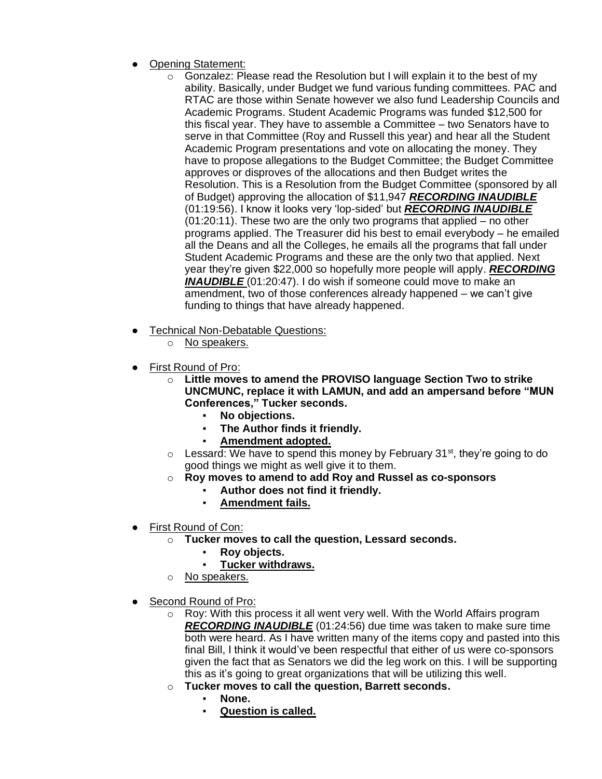- **Opening Statement:** 
	- o Gonzalez: Please read the Resolution but I will explain it to the best of my ability. Basically, under Budget we fund various funding committees. PAC and RTAC are those within Senate however we also fund Leadership Councils and Academic Programs. Student Academic Programs was funded \$12,500 for this fiscal year. They have to assemble a Committee – two Senators have to serve in that Committee (Roy and Russell this year) and hear all the Student Academic Program presentations and vote on allocating the money. They have to propose allegations to the Budget Committee; the Budget Committee approves or disproves of the allocations and then Budget writes the Resolution. This is a Resolution from the Budget Committee (sponsored by all of Budget) approving the allocation of \$11,947 *RECORDING INAUDIBLE* (01:19:56). I know it looks very 'lop-sided' but *RECORDING INAUDIBLE* (01:20:11). These two are the only two programs that applied – no other programs applied. The Treasurer did his best to email everybody – he emailed all the Deans and all the Colleges, he emails all the programs that fall under Student Academic Programs and these are the only two that applied. Next year they're given \$22,000 so hopefully more people will apply. *RECORDING*  **INAUDIBLE** (01:20:47). I do wish if someone could move to make an amendment, two of those conferences already happened – we can't give funding to things that have already happened.
- Technical Non-Debatable Questions:
	- o No speakers.
- First Round of Pro:
	- o **Little moves to amend the PROVISO language Section Two to strike UNCMUNC, replace it with LAMUN, and add an ampersand before "MUN Conferences," Tucker seconds.**
		- No objections.
		- **The Author finds it friendly.**
		- Amendment adopted.
	- $\circ$  Lessard: We have to spend this money by February 31<sup>st</sup>, they're going to do good things we might as well give it to them.
	- o **Roy moves to amend to add Roy and Russel as co-sponsors**
		- Author does not find it friendly.
		- **Amendment fails.**
- First Round of Con:
	- o **Tucker moves to call the question, Lessard seconds.**
		- **Roy objects.**
		- **Tucker withdraws.**
	- o No speakers.
- Second Round of Pro:
	- $\circ$  Roy: With this process it all went very well. With the World Affairs program *RECORDING INAUDIBLE* (01:24:56) due time was taken to make sure time both were heard. As I have written many of the items copy and pasted into this final Bill, I think it would've been respectful that either of us were co-sponsors given the fact that as Senators we did the leg work on this. I will be supporting this as it's going to great organizations that will be utilizing this well.
	- o **Tucker moves to call the question, Barrett seconds.**
		- **None.**
		- **Question is called.**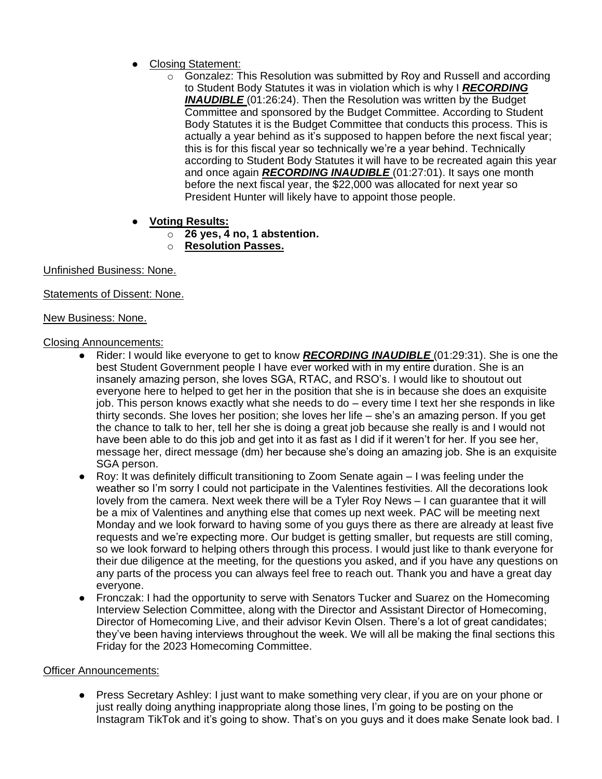- **Closing Statement:** 
	- $\circ$  Gonzalez: This Resolution was submitted by Roy and Russell and according to Student Body Statutes it was in violation which is why I *RECORDING*  **INAUDIBLE** (01:26:24). Then the Resolution was written by the Budget Committee and sponsored by the Budget Committee. According to Student Body Statutes it is the Budget Committee that conducts this process. This is actually a year behind as it's supposed to happen before the next fiscal year; this is for this fiscal year so technically we're a year behind. Technically according to Student Body Statutes it will have to be recreated again this year and once again *RECORDING INAUDIBLE* (01:27:01). It says one month before the next fiscal year, the \$22,000 was allocated for next year so President Hunter will likely have to appoint those people.
- **Voting Results:**
	- o **26 yes, 4 no, 1 abstention.**
	- o **Resolution Passes.**

Unfinished Business: None.

Statements of Dissent: None.

New Business: None.

## Closing Announcements:

- Rider: I would like everyone to get to know *RECORDING INAUDIBLE* (01:29:31). She is one the best Student Government people I have ever worked with in my entire duration. She is an insanely amazing person, she loves SGA, RTAC, and RSO's. I would like to shoutout out everyone here to helped to get her in the position that she is in because she does an exquisite job. This person knows exactly what she needs to do – every time I text her she responds in like thirty seconds. She loves her position; she loves her life – she's an amazing person. If you get the chance to talk to her, tell her she is doing a great job because she really is and I would not have been able to do this job and get into it as fast as I did if it weren't for her. If you see her, message her, direct message (dm) her because she's doing an amazing job. She is an exquisite SGA person.
- Roy: It was definitely difficult transitioning to Zoom Senate again I was feeling under the weather so I'm sorry I could not participate in the Valentines festivities. All the decorations look lovely from the camera. Next week there will be a Tyler Roy News – I can guarantee that it will be a mix of Valentines and anything else that comes up next week. PAC will be meeting next Monday and we look forward to having some of you guys there as there are already at least five requests and we're expecting more. Our budget is getting smaller, but requests are still coming, so we look forward to helping others through this process. I would just like to thank everyone for their due diligence at the meeting, for the questions you asked, and if you have any questions on any parts of the process you can always feel free to reach out. Thank you and have a great day everyone.
- Fronczak: I had the opportunity to serve with Senators Tucker and Suarez on the Homecoming Interview Selection Committee, along with the Director and Assistant Director of Homecoming, Director of Homecoming Live, and their advisor Kevin Olsen. There's a lot of great candidates; they've been having interviews throughout the week. We will all be making the final sections this Friday for the 2023 Homecoming Committee.

## Officer Announcements:

● Press Secretary Ashley: I just want to make something very clear, if you are on your phone or just really doing anything inappropriate along those lines, I'm going to be posting on the Instagram TikTok and it's going to show. That's on you guys and it does make Senate look bad. I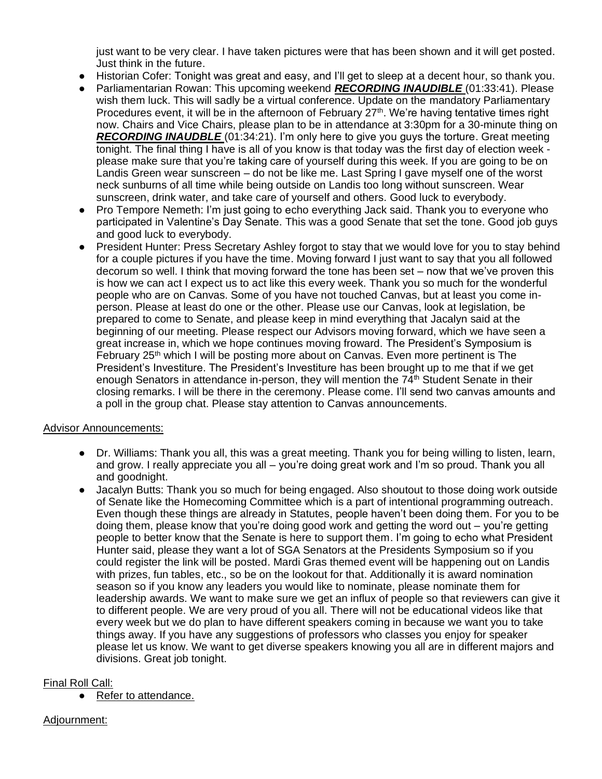just want to be very clear. I have taken pictures were that has been shown and it will get posted. Just think in the future.

- Historian Cofer: Tonight was great and easy, and I'll get to sleep at a decent hour, so thank you.
- Parliamentarian Rowan: This upcoming weekend *RECORDING INAUDIBLE* (01:33:41). Please wish them luck. This will sadly be a virtual conference. Update on the mandatory Parliamentary Procedures event, it will be in the afternoon of February 27<sup>th</sup>. We're having tentative times right now. Chairs and Vice Chairs, please plan to be in attendance at 3:30pm for a 30-minute thing on *RECORDING INAUDBLE* (01:34:21). I'm only here to give you guys the torture. Great meeting tonight. The final thing I have is all of you know is that today was the first day of election week please make sure that you're taking care of yourself during this week. If you are going to be on Landis Green wear sunscreen – do not be like me. Last Spring I gave myself one of the worst neck sunburns of all time while being outside on Landis too long without sunscreen. Wear sunscreen, drink water, and take care of yourself and others. Good luck to everybody.
- Pro Tempore Nemeth: I'm just going to echo everything Jack said. Thank you to everyone who participated in Valentine's Day Senate. This was a good Senate that set the tone. Good job guys and good luck to everybody.
- President Hunter: Press Secretary Ashley forgot to stay that we would love for you to stay behind for a couple pictures if you have the time. Moving forward I just want to say that you all followed decorum so well. I think that moving forward the tone has been set – now that we've proven this is how we can act I expect us to act like this every week. Thank you so much for the wonderful people who are on Canvas. Some of you have not touched Canvas, but at least you come inperson. Please at least do one or the other. Please use our Canvas, look at legislation, be prepared to come to Senate, and please keep in mind everything that Jacalyn said at the beginning of our meeting. Please respect our Advisors moving forward, which we have seen a great increase in, which we hope continues moving froward. The President's Symposium is February 25<sup>th</sup> which I will be posting more about on Canvas. Even more pertinent is The President's Investiture. The President's Investiture has been brought up to me that if we get enough Senators in attendance in-person, they will mention the  $74<sup>th</sup>$  Student Senate in their closing remarks. I will be there in the ceremony. Please come. I'll send two canvas amounts and a poll in the group chat. Please stay attention to Canvas announcements.

#### Advisor Announcements:

- Dr. Williams: Thank you all, this was a great meeting. Thank you for being willing to listen, learn, and grow. I really appreciate you all – you're doing great work and I'm so proud. Thank you all and goodnight.
- Jacalyn Butts: Thank you so much for being engaged. Also shoutout to those doing work outside of Senate like the Homecoming Committee which is a part of intentional programming outreach. Even though these things are already in Statutes, people haven't been doing them. For you to be doing them, please know that you're doing good work and getting the word out – you're getting people to better know that the Senate is here to support them. I'm going to echo what President Hunter said, please they want a lot of SGA Senators at the Presidents Symposium so if you could register the link will be posted. Mardi Gras themed event will be happening out on Landis with prizes, fun tables, etc., so be on the lookout for that. Additionally it is award nomination season so if you know any leaders you would like to nominate, please nominate them for leadership awards. We want to make sure we get an influx of people so that reviewers can give it to different people. We are very proud of you all. There will not be educational videos like that every week but we do plan to have different speakers coming in because we want you to take things away. If you have any suggestions of professors who classes you enjoy for speaker please let us know. We want to get diverse speakers knowing you all are in different majors and divisions. Great job tonight.

## Final Roll Call:

● Refer to attendance.

## Adjournment: